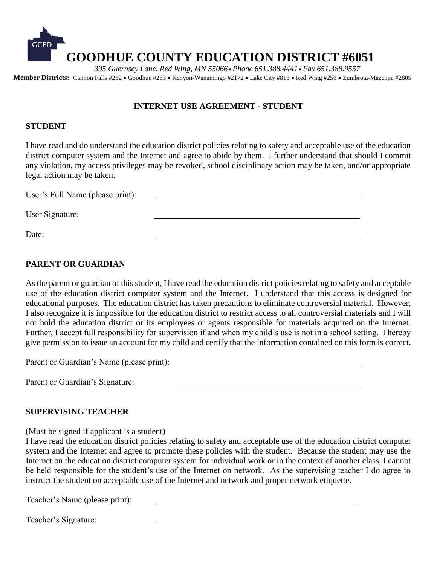

 *395 Guernsey Lane, Red Wing, MN 55066 Phone 651.388.4441 Fax 651.388.9557* **Member Districts:** Cannon Falls #252 • Goodhue #253 • Kenyon-Wanamingo #2172 • Lake City #813 • Red Wing #256 • Zumbrota-Mazeppa #2805

### **INTERNET USE AGREEMENT - STUDENT**

#### **STUDENT**

I have read and do understand the education district policies relating to safety and acceptable use of the education district computer system and the Internet and agree to abide by them. I further understand that should I commit any violation, my access privileges may be revoked, school disciplinary action may be taken, and/or appropriate legal action may be taken.

User's Full Name (please print): User Signature: Date:

## **PARENT OR GUARDIAN**

As the parent or guardian of this student, I have read the education district policies relating to safety and acceptable use of the education district computer system and the Internet. I understand that this access is designed for educational purposes. The education district has taken precautions to eliminate controversial material. However, I also recognize it is impossible for the education district to restrict access to all controversial materials and I will not hold the education district or its employees or agents responsible for materials acquired on the Internet. Further, I accept full responsibility for supervision if and when my child's use is not in a school setting. I hereby give permission to issue an account for my child and certify that the information contained on this form is correct.

Parent or Guardian's Name (please print):

Parent or Guardian's Signature:

#### **SUPERVISING TEACHER**

(Must be signed if applicant is a student)

I have read the education district policies relating to safety and acceptable use of the education district computer system and the Internet and agree to promote these policies with the student. Because the student may use the Internet on the education district computer system for individual work or in the context of another class, I cannot be held responsible for the student's use of the Internet on network. As the supervising teacher I do agree to instruct the student on acceptable use of the Internet and network and proper network etiquette.

Teacher's Name (please print):

Teacher's Signature: